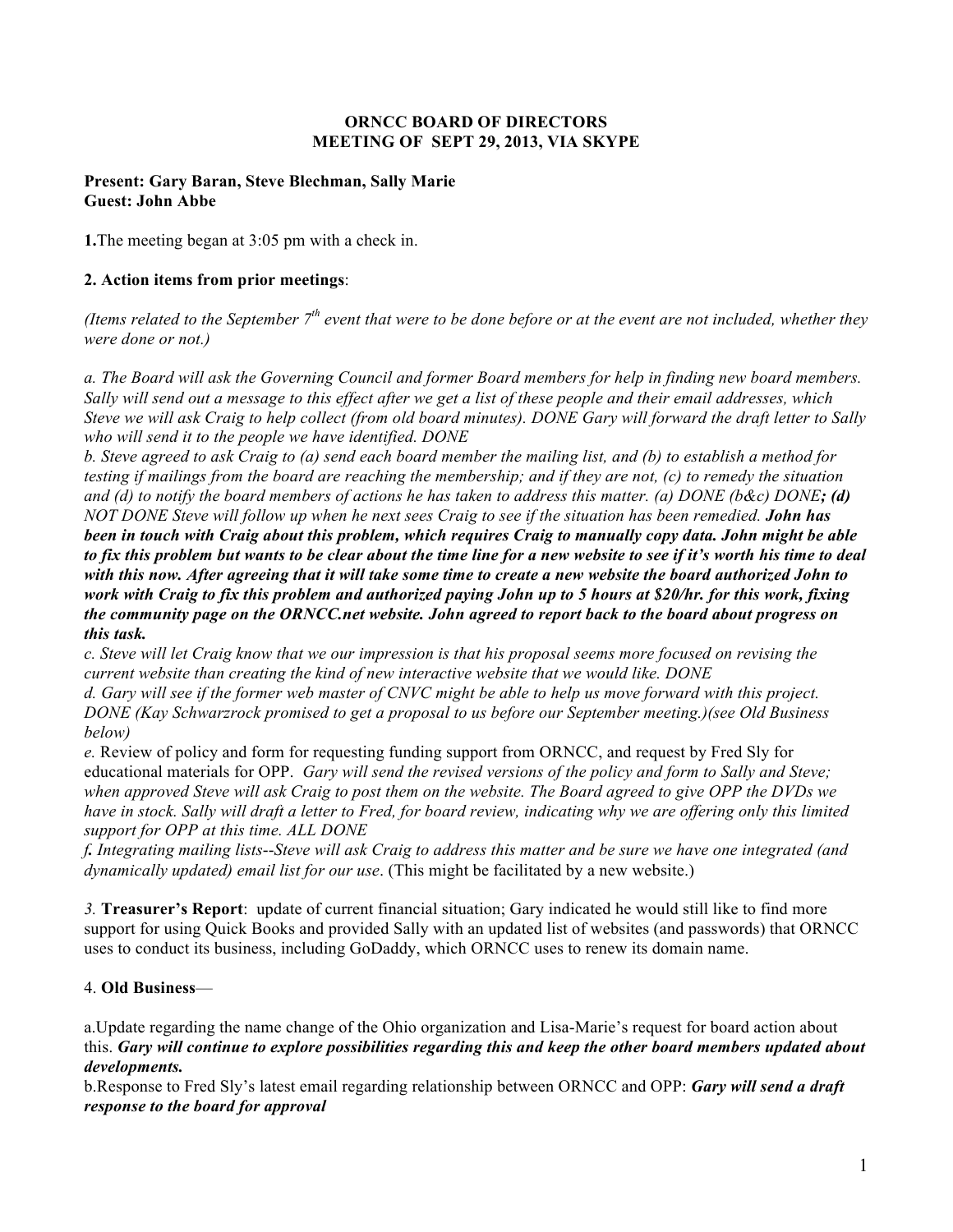### **ORNCC BOARD OF DIRECTORS MEETING OF SEPT 29, 2013, VIA SKYPE**

### **Present: Gary Baran, Steve Blechman, Sally Marie Guest: John Abbe**

**1.**The meeting began at 3:05 pm with a check in.

### **2. Action items from prior meetings**:

*(Items related to the September 7<sup>th</sup> event that were to be done before or at the event are not included, whether they were done or not.)*

*a. The Board will ask the Governing Council and former Board members for help in finding new board members. Sally will send out a message to this effect after we get a list of these people and their email addresses, which Steve we will ask Craig to help collect (from old board minutes). DONE Gary will forward the draft letter to Sally who will send it to the people we have identified. DONE*

*b. Steve agreed to ask Craig to (a) send each board member the mailing list, and (b) to establish a method for testing if mailings from the board are reaching the membership; and if they are not, (c) to remedy the situation and (d) to notify the board members of actions he has taken to address this matter. (a) DONE (b&c) DONE; (d)* 

*NOT DONE Steve will follow up when he next sees Craig to see if the situation has been remedied. John has been in touch with Craig about this problem, which requires Craig to manually copy data. John might be able to fix this problem but wants to be clear about the time line for a new website to see if it's worth his time to deal with this now. After agreeing that it will take some time to create a new website the board authorized John to work with Craig to fix this problem and authorized paying John up to 5 hours at \$20/hr. for this work, fixing the community page on the ORNCC.net website. John agreed to report back to the board about progress on this task.*

*c. Steve will let Craig know that we our impression is that his proposal seems more focused on revising the current website than creating the kind of new interactive website that we would like. DONE d. Gary will see if the former web master of CNVC might be able to help us move forward with this project. DONE (Kay Schwarzrock promised to get a proposal to us before our September meeting.)(see Old Business below)*

*e.* Review of policy and form for requesting funding support from ORNCC, and request by Fred Sly for educational materials for OPP. *Gary will send the revised versions of the policy and form to Sally and Steve; when approved Steve will ask Craig to post them on the website. The Board agreed to give OPP the DVDs we have in stock. Sally will draft a letter to Fred, for board review, indicating why we are offering only this limited support for OPP at this time. ALL DONE*

*f. Integrating mailing lists*--*Steve will ask Craig to address this matter and be sure we have one integrated (and dynamically updated) email list for our use*. (This might be facilitated by a new website.)

*3.* **Treasurer's Report**: update of current financial situation; Gary indicated he would still like to find more support for using Quick Books and provided Sally with an updated list of websites (and passwords) that ORNCC uses to conduct its business, including GoDaddy, which ORNCC uses to renew its domain name.

# 4. **Old Business**—

a.Update regarding the name change of the Ohio organization and Lisa-Marie's request for board action about this. *Gary will continue to explore possibilities regarding this and keep the other board members updated about developments.*

b.Response to Fred Sly's latest email regarding relationship between ORNCC and OPP: *Gary will send a draft response to the board for approval*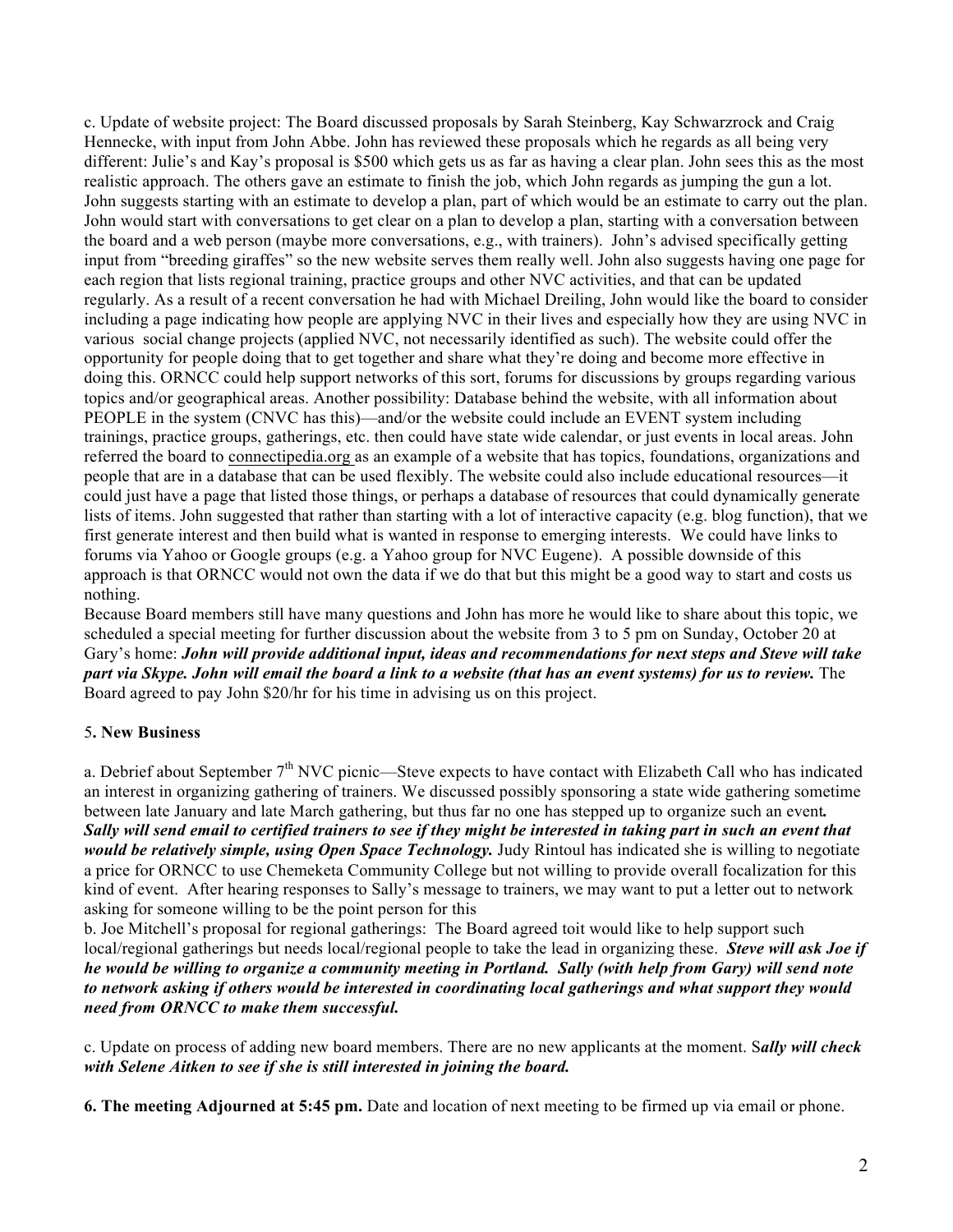c. Update of website project: The Board discussed proposals by Sarah Steinberg, Kay Schwarzrock and Craig Hennecke, with input from John Abbe. John has reviewed these proposals which he regards as all being very different: Julie's and Kay's proposal is \$500 which gets us as far as having a clear plan. John sees this as the most realistic approach. The others gave an estimate to finish the job, which John regards as jumping the gun a lot. John suggests starting with an estimate to develop a plan, part of which would be an estimate to carry out the plan. John would start with conversations to get clear on a plan to develop a plan, starting with a conversation between the board and a web person (maybe more conversations, e.g., with trainers). John's advised specifically getting input from "breeding giraffes" so the new website serves them really well. John also suggests having one page for each region that lists regional training, practice groups and other NVC activities, and that can be updated regularly. As a result of a recent conversation he had with Michael Dreiling, John would like the board to consider including a page indicating how people are applying NVC in their lives and especially how they are using NVC in various social change projects (applied NVC, not necessarily identified as such). The website could offer the opportunity for people doing that to get together and share what they're doing and become more effective in doing this. ORNCC could help support networks of this sort, forums for discussions by groups regarding various topics and/or geographical areas. Another possibility: Database behind the website, with all information about PEOPLE in the system (CNVC has this)—and/or the website could include an EVENT system including trainings, practice groups, gatherings, etc. then could have state wide calendar, or just events in local areas. John referred the board to connectipedia.org as an example of a website that has topics, foundations, organizations and people that are in a database that can be used flexibly. The website could also include educational resources—it could just have a page that listed those things, or perhaps a database of resources that could dynamically generate lists of items. John suggested that rather than starting with a lot of interactive capacity (e.g. blog function), that we first generate interest and then build what is wanted in response to emerging interests. We could have links to forums via Yahoo or Google groups (e.g. a Yahoo group for NVC Eugene). A possible downside of this approach is that ORNCC would not own the data if we do that but this might be a good way to start and costs us nothing.

Because Board members still have many questions and John has more he would like to share about this topic, we scheduled a special meeting for further discussion about the website from 3 to 5 pm on Sunday, October 20 at Gary's home: *John will provide additional input, ideas and recommendations for next steps and Steve will take part via Skype. John will email the board a link to a website (that has an event systems) for us to review.* The Board agreed to pay John \$20/hr for his time in advising us on this project.

# 5**. New Business**

a. Debrief about September 7<sup>th</sup> NVC picnic—Steve expects to have contact with Elizabeth Call who has indicated an interest in organizing gathering of trainers. We discussed possibly sponsoring a state wide gathering sometime between late January and late March gathering, but thus far no one has stepped up to organize such an event*. Sally will send email to certified trainers to see if they might be interested in taking part in such an event that would be relatively simple, using Open Space Technology.* Judy Rintoul has indicated she is willing to negotiate a price for ORNCC to use Chemeketa Community College but not willing to provide overall focalization for this kind of event. After hearing responses to Sally's message to trainers, we may want to put a letter out to network asking for someone willing to be the point person for this

b. Joe Mitchell's proposal for regional gatherings: The Board agreed toit would like to help support such local/regional gatherings but needs local/regional people to take the lead in organizing these. *Steve will ask Joe if he would be willing to organize a community meeting in Portland. Sally (with help from Gary) will send note to network asking if others would be interested in coordinating local gatherings and what support they would need from ORNCC to make them successful.* 

c. Update on process of adding new board members. There are no new applicants at the moment. S*ally will check with Selene Aitken to see if she is still interested in joining the board.*

**6. The meeting Adjourned at 5:45 pm.** Date and location of next meeting to be firmed up via email or phone.